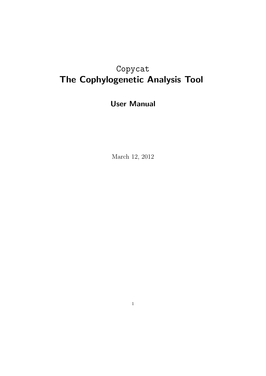# Copycat The Cophylogenetic Analysis Tool

# User Manual

March 12, 2012

1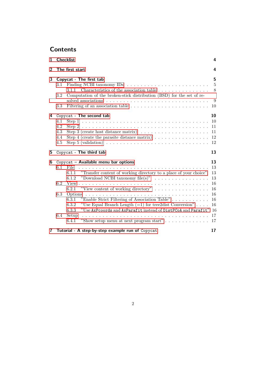## **Contents**

| $\mathbf{1}$ |                                 | <b>Checklist</b>                                                                                                                                                                                                                                                                                                                                                                                                                                                                                                                                      | 4                                                                           |  |
|--------------|---------------------------------|-------------------------------------------------------------------------------------------------------------------------------------------------------------------------------------------------------------------------------------------------------------------------------------------------------------------------------------------------------------------------------------------------------------------------------------------------------------------------------------------------------------------------------------------------------|-----------------------------------------------------------------------------|--|
| 2            |                                 | The first start                                                                                                                                                                                                                                                                                                                                                                                                                                                                                                                                       | 4                                                                           |  |
| 3            | 3.1<br>3.2<br>3.3               | Copycat - The first tab<br>3.1.1 Characteristics of the association table $\ldots$ ,<br>Computation of the broken-stick distribution (BSD) for the set of re-                                                                                                                                                                                                                                                                                                                                                                                         | 5<br>$\overline{5}$<br>8<br>9<br>10                                         |  |
| 4<br>5       | 4.1<br>4.2<br>4.3<br>4.4<br>4.5 | Copycat - The second tab<br>Step 3 (create host distance matrix) $\ldots \ldots \ldots \ldots \ldots \ldots$<br>Step 4 (create the parasite distance matrix) $\dots \dots \dots \dots \dots$<br>Step 5 (validation) $\ldots \ldots \ldots \ldots \ldots \ldots \ldots \ldots \ldots \ldots$<br>Copycat - The third tab                                                                                                                                                                                                                                | 10<br>10<br>11<br>11<br>12<br>12<br>13                                      |  |
| 6            | 6.1<br>6.2<br>6.3<br>6.4        | Copycat - Available menu bar options<br>File<br>a de la caractería de la caractería de la caractería de la caractería<br>"Transfer content of working directory to a place of your choice"<br>6.1.1<br>"Download NCBI taxonomy file(s)" $\ldots \ldots \ldots \ldots \ldots$<br>6.1.2<br>"View content of working directory" $\ldots \ldots \ldots \ldots \ldots$<br>6.2.1<br>6.3.1<br>"Use Equal Branch Length $(=1)$ for tree2dist Conversion"<br>6.3.2<br>"Use AxPcoords and AxParafit instead of DistPCoA and Parafit"<br>6.3.3<br>Setup<br>6.4.1 | 13<br>13<br>13<br>13<br>16<br>16<br>16<br>16<br>16<br><b>16</b><br>17<br>17 |  |
|              |                                 | 7 Tutorial - A step-by-step example run of Copycat                                                                                                                                                                                                                                                                                                                                                                                                                                                                                                    | 17                                                                          |  |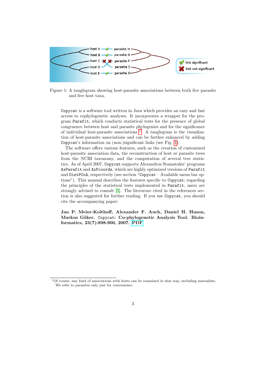

<span id="page-2-1"></span>Figure 1: A tanglegram showing host-parasite associations between both five parasite and five host taxa.

Copycat is a software tool written in Java which provides an easy and fast access to cophylogenetic analyses. It incorporates a wrapper for the program Parafit, which conducts statistical tests for the presence of global congruence between host and parasite phylogenies and for the significance of individual host-parasite associations  $\frac{1}{1}$  $\frac{1}{1}$  $\frac{1}{1}$ . A tanglegram is the visualization of host-parasite associations and can be further enhanced by adding Copycat's information on (non-)significant links (see Fig. [1\)](#page-2-1).

The software offers various features, such as the creation of customized host-parasite association data, the reconstruction of host or parasite trees from the NCBI taxonomy, and the computation of several tree statistics. As of April 2007, Copycat supports Alexandros Stamatakis' programs AxParafit and AxPcoords, which are highly optimized versions of Parafit and DistPCoA, respectively (see section "Copycat – Available menu bar options"). This manual describes the features specific to Copycat; regarding the principles of the statistical tests implemented in Parafit, users are strongly advised to consult [\[5\]](#page-19-0). The literature cited in the references section is also suggested for further reading. If you use Copycat, you should cite the accompanying paper:

Jan P. Meier-Kolthoff, Alexander F. Auch, Daniel H. Huson, Markus Göker. Copycat: Co-phylogenetic Analysis Tool. Bioinformatics, 23(7):898-900, 2007.PDF

<span id="page-2-0"></span><sup>1</sup>Of course, any kind of associations with hosts can be examined in that way, including mutualists. We refer to parasites only just for convenience.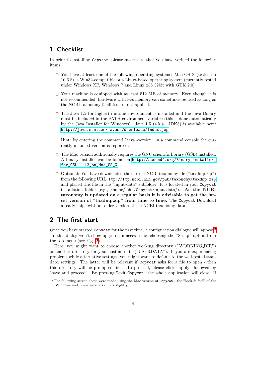### <span id="page-3-0"></span>1 Checklist

In prior to installing Copycat, please make sure that you have verified the following items:

- $\square$  You have at least one of the following operating systems: Mac OS X (tested on 10.6.8), a Win32-compatible or a Linux-based operating system (currently tested under Windows XP, Windows 7 and Linux x86 32bit with GTK 2.0)
- $\square$  Your machine is equipped with at least 512 MB of memory. Even though it is not recommended, hardware with less memory can sometimes be used as long as the NCBI taxonomy facilities are not applied.
- $\Box$  The Java 1.5 (or higher) runtime environment is installed and the Java Binary must be included in the PATH environment variable (this is done automatically by the Java Installer for Windows). Java 1.5 (a.k.a. JDK5) is available here: <http://java.sun.com/javase/downloads/index.jsp>

Hint: by entering the command "java -version" in a command console the currently installed version is reported.

- $\square$  The Mac version additionally requires the GNU scientific library (GSL) installed. A binary installer can be found on [http://ascend4.org/Binary\\_installer\\_](http://ascend4.org/Binary_installer_for_GSL-1.13_on_Mac_OS_X) [for\\_GSL-1.13\\_on\\_Mac\\_OS\\_X](http://ascend4.org/Binary_installer_for_GSL-1.13_on_Mac_OS_X).
- $\Box$  Optional: You have downloaded the current NCBI taxonomy file ("taxdmp.zip") from the following URL: <ftp://ftp.ncbi.nih.gov/pub/taxonomy/taxdmp.zip> and placed this file in the "input-data" subfolder. It is located in your Copycat installation folder (e.g., /home/john/Copycat/input-data/). As the NCBI taxonomy is updated on a regular basis it is advisable to get the latest version of "taxdmp.zip" from time to time. The Copycat Download already ships with an older version of the NCBI taxonomy data.

### <span id="page-3-1"></span>2 The first start

Once you have started Copycat for the first time, a configuration dialogue will appear<sup>[2](#page-3-2)</sup> - if this dialog won't show up you can access it by choosing the "Setup" option from the top menu (see Fig. [2\)](#page-4-2).

Here, you might want to choose another working directory ("WORKING DIR") or another directory for your custom data ("USERDATA"). If you are experiencing problems while alternative settings, you might want to default to the well-tested standard settings. The latter will be relevant if Copycat asks for a file to open - then this directory will be prompted first. To proceed, please click "apply" followed by "save and proceed". By pressing "exit Copycat" the whole application will close. If

<span id="page-3-2"></span><sup>&</sup>lt;sup>2</sup>The following screen shots were made using the Mac version of Copycat - the "look & feel" of the Windows and Linux versions differs slightly.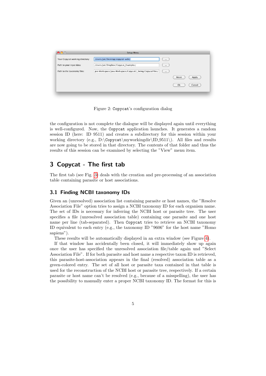| $\overline{\phantom{a}}$        | <b>Setup Menu</b>                                         |          |                |
|---------------------------------|-----------------------------------------------------------|----------|----------------|
| Your Copycat working directory: | /Users/Jan/Desktop/copycat-wdir/                          | $\cdots$ |                |
| Path to your input data:        | /Users/Jan/Dropbox/Copycat_Examples/                      | $\cdots$ |                |
| Path to the taxonomy files:     | pse Workspace/Java Workspace/Copycat2_Swing/CopycatFiles/ | $\cdots$ |                |
|                                 |                                                           |          | Apply<br>Reset |
|                                 |                                                           |          | Ok<br>Cancel   |
|                                 |                                                           |          |                |

<span id="page-4-2"></span>Figure 2: Copycat's configuration dialog

the configuration is not complete the dialogue will be displayed again until everything is well-configured. Now, the Copycat application launches. It generates a random session ID (here: ID 9511) and creates a subdirectory for this session within your working directory (e.g., D:\Copycat\myworkingdir\ID\_9511\). All files and results are now going to be stored in that directory. The contents of that folder and thus the results of this session can be examined by selecting the "View" menu item.

### <span id="page-4-0"></span>3 Copycat - The first tab

The first tab (see Fig. [3\)](#page-5-0) deals with the creation and pre-processing of an association table containing parasite or host associations.

### <span id="page-4-1"></span>3.1 Finding NCBI taxonomy IDs

Given an (unresolved) association list containing parasite or host names, the "Resolve Association File" option tries to assign a NCBI taxonomy ID for each organism name. The set of IDs is necessary for inferring the NCBI host or parasite tree. The user specifies a file (unresolved association table) containing one parasite and one host name per line (tab-separated). Then Copycat tries to retrieve an NCBI taxonomy ID equivalent to each entry (e.g., the taxonomy ID "9606" for the host name "Homo sapiens").

These results will be automatically displayed in an extra window (see Figure [4\)](#page-6-0).

If that window has accidentally been closed, it will immediately show up again once the user has specified the unresolved association file/table again und "Select Association File". If for both parasite and host name a respective taxon ID is retrieved, this parasite-host-association appears in the final (resolved) association table as a green-colored entry. The set of all host or parasite taxa contained in that table is used for the reconstruction of the NCBI host or parasite tree, respectively. If a certain parasite or host name can't be resolved (e.g., because of a misspelling), the user has the possibility to manually enter a proper NCBI taxonomy ID. The format for this is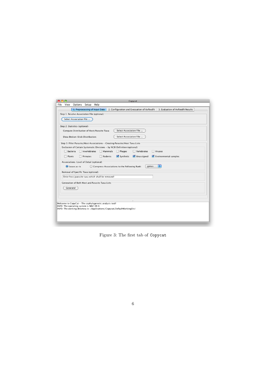| Copycat                                                                                                           |  |  |  |  |  |  |  |  |
|-------------------------------------------------------------------------------------------------------------------|--|--|--|--|--|--|--|--|
| Options<br>Setup<br>Help<br>File<br>View                                                                          |  |  |  |  |  |  |  |  |
| 1. Preprocessing of Input Data<br>2. Configuration and Execuation of AxParafit 3. Evaluation of AxParafit Results |  |  |  |  |  |  |  |  |
| Step 1: Resolve Association File (optional)-                                                                      |  |  |  |  |  |  |  |  |
| Select Association File                                                                                           |  |  |  |  |  |  |  |  |
| -Step 2: Statistics (optional)-                                                                                   |  |  |  |  |  |  |  |  |
| Select Association File<br>Compute Distribution of Host/Parasite Taxa:                                            |  |  |  |  |  |  |  |  |
| Select Association File<br>Show Broken-Stick Distribution:                                                        |  |  |  |  |  |  |  |  |
| Step 3: Filter Parasite/Host Associations - Creating Parasite/Host Taxa Lists                                     |  |  |  |  |  |  |  |  |
| Exclusion of Certain Systematic Divisions - by NCBI Definition (optional)-                                        |  |  |  |  |  |  |  |  |
| $\Box$ Invertebrates<br>$\Box$ Mammals<br>$\Box$ Phages<br>$\Box$ Vertebrates<br><b>Bacteria</b><br>Viruses       |  |  |  |  |  |  |  |  |
| Synthetic<br>Environmental samples<br>Rodents<br><b>√</b> Unassigned<br>$\Box$ Plants<br>Primates                 |  |  |  |  |  |  |  |  |
| Associations: Level of Detail (optional)                                                                          |  |  |  |  |  |  |  |  |
| ÷<br>genus<br>◯ Compress Associations to the Following Rank:<br>$\odot$ Leave as-is                               |  |  |  |  |  |  |  |  |
| Removal of Specific Taxa (optional)                                                                               |  |  |  |  |  |  |  |  |
| Enter host/parasite taxa which shall be removed!                                                                  |  |  |  |  |  |  |  |  |
| Generation of Both Host and Parasite Taxa Lists                                                                   |  |  |  |  |  |  |  |  |
| Generate!                                                                                                         |  |  |  |  |  |  |  |  |
|                                                                                                                   |  |  |  |  |  |  |  |  |
|                                                                                                                   |  |  |  |  |  |  |  |  |
| Welcome to CopyCat - The cophylogenetic analysis tool!<br>INFO: The operating system is MAC OS X                  |  |  |  |  |  |  |  |  |
| INFO: The working directory is: /Applications/Copycat/DefaultWorkingDir/                                          |  |  |  |  |  |  |  |  |
|                                                                                                                   |  |  |  |  |  |  |  |  |
|                                                                                                                   |  |  |  |  |  |  |  |  |
|                                                                                                                   |  |  |  |  |  |  |  |  |

<span id="page-5-0"></span>Figure 3: The first tab of Copycat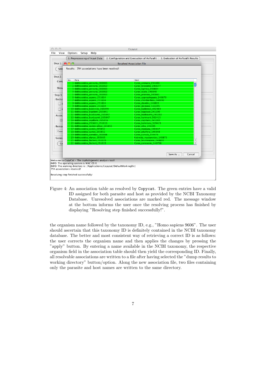| File<br>View                      | Options Setup Help                                                                                     | Copycat                                                                         |  |  |  |  |  |  |
|-----------------------------------|--------------------------------------------------------------------------------------------------------|---------------------------------------------------------------------------------|--|--|--|--|--|--|
|                                   | 1. Preprocessing of Input Data                                                                         | 2. Configuration and Execuation of AxParafit 3. Evaluation of AxParafit Results |  |  |  |  |  |  |
| $-$ Step 1: $\bigcirc$ $\bigcirc$ |                                                                                                        | <b>Resolved Association File</b>                                                |  |  |  |  |  |  |
| Sele                              | Results: 794 associations have been resolved!                                                          |                                                                                 |  |  |  |  |  |  |
| Step 2:                           |                                                                                                        |                                                                                 |  |  |  |  |  |  |
| Com                               | Para<br>No.                                                                                            | Host                                                                            |  |  |  |  |  |  |
|                                   | 1 Anthracoidea arenaria 265863                                                                         | Carex arenaria 234466                                                           |  |  |  |  |  |  |
| Show                              | 2 Anthracoidea arenaria 265863                                                                         | Carex brizoides 240677                                                          |  |  |  |  |  |  |
|                                   | 3 Anthracoidea_arenaria_265863                                                                         | Carex_ligerica_240664                                                           |  |  |  |  |  |  |
|                                   | 4 Anthracoidea arenaria 265863                                                                         | Carex_ovalis_140840                                                             |  |  |  |  |  |  |
| Step 3:                           | 5 Anthracoidea_arenaria_265863                                                                         | Carex_praecox_240661                                                            |  |  |  |  |  |  |
| Exclus                            | 6 Anthracoidea_aspera_251614                                                                           | Carex_appropinguata_240679                                                      |  |  |  |  |  |  |
|                                   | 7 Anthracoidea_aspera_251614                                                                           | Carex_chordorrhiza_240692                                                       |  |  |  |  |  |  |
|                                   | 8 Anthracoidea_aspera_251614                                                                           | Carex diandra 140803                                                            |  |  |  |  |  |  |
|                                   | 9 Anthracoidea aspera 251614                                                                           | Carex glareosa 513295                                                           |  |  |  |  |  |  |
| n.                                | 10 Anthracoidea baldensis 265859                                                                       | Carex baldensis 442460                                                          |  |  |  |  |  |  |
|                                   | 11 Anthracoidea bigelowii 265841                                                                       | Carex bigelowii 241200                                                          |  |  |  |  |  |  |
| Assoc                             | 12 Anthracoidea buxbaumii 265847                                                                       | Carex buxbaumii 241202                                                          |  |  |  |  |  |  |
|                                   | 13 Anthracoidea buxbaumii 265847                                                                       | Carex hartmanii 502415                                                          |  |  |  |  |  |  |
| $\left( \bullet \right)$          | 14 Anthracoidea capillaris 265856                                                                      | Carex capillaris 241203                                                         |  |  |  |  |  |  |
|                                   | 15 Anthracoidea_251613_251613                                                                          | Carex_halleriana_529425                                                         |  |  |  |  |  |  |
| Remo                              | 16 Anthracoidea_caricis-albae_265855                                                                   | Carex_alba_241195                                                               |  |  |  |  |  |  |
|                                   | 17 Anthracoidea_caricis_265852                                                                         | Carex_montana_140837                                                            |  |  |  |  |  |  |
| Ente                              | 18 Anthracoidea_caricis_265852                                                                         | Carex_pilulifera_140848                                                         |  |  |  |  |  |  |
|                                   | 19 Anthracoidea curvulae 265866                                                                        | Carex_curvula_234476                                                            |  |  |  |  |  |  |
| <b>Gener</b>                      | 20 Anthracoidea elynae 265865                                                                          | Kobresia myosuroides 140873                                                     |  |  |  |  |  |  |
|                                   | 21 Anthracoidea fischeri 251615                                                                        | Carex brunnescens 240691                                                        |  |  |  |  |  |  |
| Ge                                | 22 Anthracoidea fischeri 251615                                                                        | $\overline{\mathbf{v}}$<br>Carex canescens 140796                               |  |  |  |  |  |  |
|                                   |                                                                                                        | Save As<br>Cancel                                                               |  |  |  |  |  |  |
|                                   | Welcome to CopyCat - The cophylogenetic analysis tool!<br>INFO: The operating system is MAC OS X       |                                                                                 |  |  |  |  |  |  |
|                                   | INFO: The working directory is: /Applications/Copycat/DefaultWorkingDir/<br>794 associations resolved! |                                                                                 |  |  |  |  |  |  |
|                                   | Resolving step finished successfully!                                                                  |                                                                                 |  |  |  |  |  |  |

<span id="page-6-0"></span>Figure 4: An association table as resolved by Copycat. The green entries have a valid ID assigned for both parasite and host as provided by the NCBI Taxonomy Database. Unresolved associations are marked red. The message window at the bottom informs the user once the resolving process has finished by displaying "Resolving step finished successfully!".

the organism name followed by the taxonomy ID, e.g., "Homo sapiens 9606". The user should ascertain that this taxonomy ID is definitely contained in the NCBI taxonomy database. The better and most consistent way of retrieving a correct ID is as follows: the user corrects the organism name and then applies the changes by pressing the "apply" button. By entering a name available in the NCBI taxonomy, the respective organism field in the association table should then yield the corresponding ID. Finally, all resolvable associations are written to a file after having selected the "dump results to working directory" button/option. Along the new association file, two files containing only the parasite and host names are written to the same directory.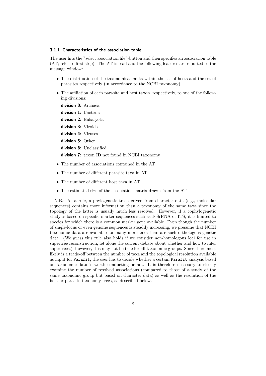#### <span id="page-7-0"></span>3.1.1 Characteristics of the association table

The user hits the "select association file"-button and then specifies an association table (AT; refer to first step). The AT is read and the following features are reported to the message window:

- The distribution of the taxonomical ranks within the set of hosts and the set of parasites respectively (in accordance to the NCBI taxonomy)
- The affiliation of each parasite and host taxon, respectively, to one of the following divisions:

division 0: Archaea

division 1: Bacteria

division 2: Eukaryota

division 3: Viroids

division 4: Viruses

division 5: Other

division 6: Unclassified

division 7: taxon ID not found in NCBI taxonomy

- The number of associations contained in the AT
- The number of different parasite taxa in AT
- The number of different host taxa in AT
- The estimated size of the association matrix drawn from the AT

N.B.: As a rule, a phylogenetic tree derived from character data (e.g., molecular sequences) contains more information than a taxonomy of the same taxa since the topology of the latter is usually much less resolved. However, if a cophylogenetic study is based on specific marker sequences such as 16SrRNA or ITS, it is limited to species for which there is a common marker gene available. Even though the number of single-locus or even genome sequences is steadily increasing, we presume that NCBI taxonomic data are available for many more taxa than are such orthologous genetic data. (We guess this rule also holds if we consider non-homologous loci for use in supertree reconstruction, let alone the current debate about whether and how to infer supertrees.) However, this may not be true for all taxonomic groups. Since there most likely is a trade-off between the number of taxa and the topological resolution available as input for Parafit, the user has to decide whether a certain Parafit analysis based on taxonomic data is worth conducting or not. It is therefore necessary to closely examine the number of resolved associations (compared to those of a study of the same taxonomic group but based on character data) as well as the resolution of the host or parasite taxonomy trees, as described below.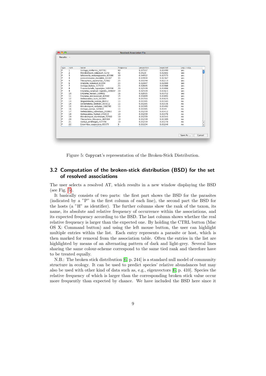| type | rank           | taxon                              | frequency | proportion | expected | $prp.$ > $exp.$ |  |
|------|----------------|------------------------------------|-----------|------------|----------|-----------------|--|
| P    | 1              | Ustilago striiformis 307781        | 60        | 0.07557    | 0.03499  | ves             |  |
| P    | 2              | Microbotryum violaceum 5272        | 42        | 0.0529     | 0.02881  | ves             |  |
| P    | 3              | Schizonella melanogramma 63386     | 39        | 0.04912    | 0.02573  | ves             |  |
| P    | $\overline{4}$ | Jamesdicksonia dactylidis 63287    | 31        | 0.03904    | 0.02367  | yes             |  |
| P    | 5              | Thecaphora_saponariae_72562        | 25        | 0.03149    | 0.02213  | yes             |  |
| P    | 6              | Urocystis_ranunculi_63394          | 23        | 0.02897    | 0.02089  | yes             |  |
| P    | $\overline{7}$ | Ustilago bullata 117172            | 21        | 0.02645    | 0.01986  | yes             |  |
| P    | 8              | Tranzscheliella hypodytes 349358   | 20        | 0.02519    | 0.01898  | ves             |  |
| P    | 9              | Entyloma_ranunculi-repentis_189607 | 20        | 0.02519    | 0.01821  | yes             |  |
| P    | 10             | Entyloma hieracii 189602           | 16        | 0.02015    | 0.01752  | yes             |  |
| P    | 11             | Entyloma microsporum 62642         | 15        | 0.01889    | 0.01691  | ves             |  |
| P    | 12             | Anthracoidea karii 265844          | 14        | 0.01763    | 0.01635  | ves             |  |
| P    | 13             | Stegocintractia luzulae 86812      | 11        | 0.01385    | 0.01583  | no              |  |
| P    | 14             | Ustilentyloma brefeldii 355612     | 11        | 0.01385    | 0.01536  | no              |  |
| P    | 15             | Microbotryum stellariae 288790     | 11        | 0.01385    | 0.01492  | no              |  |
| P    | 16             | Ustilago avenae 120650             | 11        | 0.01385    | 0.0145   | no              |  |
| P    | 17             | Anthracoidea subinclusa 265861     | 10        | 0.01259    | 0.01412  | no              |  |
| P    | 18             | Anthracoidea fischeri 251615       | 10        | 0.01259    | 0.01376  | no              |  |
| P    | 19             | Microbotryum dianthorum 72560      | 10        | 0.01259    | 0.01341  | no              |  |
| P    | 20             | Thecaphora_thlaspeos_469304        | 10        | 0.01259    | 0.01309  | no              |  |
| P    | 21             | Vankya ornithogali 437798          | 10        | 0.01259    | 0.01278  | no              |  |
| P    | 22             | Entorrhiza_casparyana_63375        | 9         | 0.01134    | 0.01248  | no              |  |

<span id="page-8-1"></span>Figure 5: Copycat's representation of the Broken-Stick Distribution.

### <span id="page-8-0"></span>3.2 Computation of the broken-stick distribution (BSD) for the set of resolved associations

The user selects a resolved AT, which results in a new window displaying the BSD (see Fig. [5\)](#page-8-1).

It basically consists of two parts: the first part shows the BSD for the parasites (indicated by a "P" in the first column of each line), the second part the BSD for the hosts (a "H" as identifier). The further columns show the rank of the taxon, its name, its absolute and relative frequency of occurrence within the associations, and its expected frequency according to the BSD. The last column shows whether the real relative frequency is larger than the expected one. By holding the CTRL button (Mac OS X: Command button) and using the left mouse button, the user can highlight multiple entries within the list. Each entry represents a parasite or host, which is then marked for removal from the association table. Often the entries in the list are highlighted by means of an alternating pattern of dark and light-grey. Several lines sharing the same colour-scheme correspond to the same tied rank and therefore have to be treated equally.

N.B.: The broken stick distribution [\[6,](#page-19-1) p. 244] is a standard null model of community structure in ecology. It can be used to predict species' relative abundances but may also be used with other kind of data such as, e.g., eigenvectors [\[6,](#page-19-1) p. 410]. Species the relative frequency of which is larger than the corresponding broken stick value occur more frequently than expected by chance. We have included the BSD here since it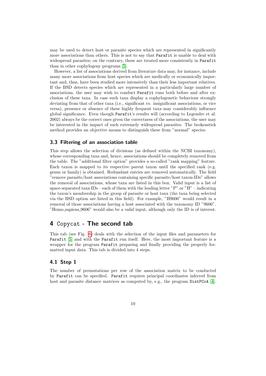may be used to detect host or parasite species which are represented in significantly more associations than others. This is not to say that Parafit is unable to deal with widespread parasites; on the contrary, these are treated more consistently in Parafit than in other cophylogeny programs [\[5\]](#page-19-0).

However, a list of associations derived from literature data may, for instance, include many more associations from host species which are medically or economically important and, thus, have been studied more intensively than their less important relatives. If the BSD detects species which are represented in a particularly large number of associations, the user may wish to conduct Parafit runs both before and after exclusion of these taxa. In case such taxa display a cophylogenetic behaviour strongly deviating from that of other taxa (i.e., significant vs. insignificant associations, or vice versa), presence or absence of these highly frequent taxa may considerably influence global significance. Even though Parafit's results will (according to Legendre et al. 2002) always be the correct ones given the correctness of the associations, the user may be interested in the impact of such extremely widespread parasites. The brokenstick method provides an objective means to distinguish these from "normal" species.

#### <span id="page-9-0"></span>3.3 Filtering of an association table

This step allows the selection of divisions (as defined within the NCBI taxonomy), whose corresponding taxa and, hence, associations should be completely removed from the table. The "additional filter option" provides a so-called "rank mapping" feature. Each taxon is mapped to its respective parent taxon until the specified rank (e.g. genus or family) is obtained. Redundant entries are removed automatically. The field "remove parasite/host associations containing specific parasite/host taxon-IDs" allows the removal of associations, whose taxa are listed in this box. Valid input is a list of space-separated taxa IDs – each of them with the leading letter "P" or "H" – indicating the taxon's membership in the group of parasite or host taxa (the taxa being selected via the BSD option are listed in this field). For example, "H9606" would result in a removal of those associations having a host associated with the taxonomy ID "9606". "Homo sapiens 9606" would also be a valid input, although only the ID is of interest.

### <span id="page-9-1"></span>4 Copycat - The second tab

This tab (see Fig. [6\)](#page-10-2) deals with the selection of the input files and parameters for Parafit [\[5\]](#page-19-0) and with the Parafit run itself. Here, the most important feature is a wrapper for the program Parafit preparing and finally providing the properly formatted input data. This tab is divided into 4 steps.

### <span id="page-9-2"></span>4.1 Step 1

The number of permutations per row of the association matrix to be conducted by Parafit can be specified. Parafit requires principal coordinates inferred from host and parasite distance matrices as computed by, e.g., the program Distrator [\[4\]](#page-19-2).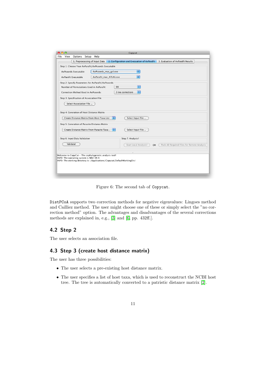| Copycat                                                                                                            |  |  |  |  |  |  |  |  |
|--------------------------------------------------------------------------------------------------------------------|--|--|--|--|--|--|--|--|
| Options Setup Help<br>File<br>View                                                                                 |  |  |  |  |  |  |  |  |
| 1. Preprocessing of Input Data 2. Configuration and Execuation of AxParafit<br>3. Evaluation of AxParafit Results  |  |  |  |  |  |  |  |  |
| -Step 1: Choose Your AxParafit/AxPcoords Executable-                                                               |  |  |  |  |  |  |  |  |
| ÷۱<br>AxPcoords Executable<br>AxPcoords_mac_gsl.exe                                                                |  |  |  |  |  |  |  |  |
|                                                                                                                    |  |  |  |  |  |  |  |  |
| ÷<br>AxParafit_mac_ATLAS.exe<br>AxParafit Executable                                                               |  |  |  |  |  |  |  |  |
| Step 2: Specify Parameters for AxParafit/AxPcoords                                                                 |  |  |  |  |  |  |  |  |
| ÷<br>Number of Permutations Used in AxParafit:<br>99                                                               |  |  |  |  |  |  |  |  |
| ÷<br>3 (no correction)<br>Correction Method Used in AxPcoords:                                                     |  |  |  |  |  |  |  |  |
| Step 3: Specification of Association File-                                                                         |  |  |  |  |  |  |  |  |
|                                                                                                                    |  |  |  |  |  |  |  |  |
| Select Association File                                                                                            |  |  |  |  |  |  |  |  |
| Step 4: Generation of Host Distance Matrix                                                                         |  |  |  |  |  |  |  |  |
|                                                                                                                    |  |  |  |  |  |  |  |  |
| F<br>Create Distance Matrix From Host Taxa List<br>Select Input File                                               |  |  |  |  |  |  |  |  |
| Step 5: Generation of Parasite Distance Matrix                                                                     |  |  |  |  |  |  |  |  |
| ÷<br>Create Distance Matrix From Parasite Taxa<br>Select Input File                                                |  |  |  |  |  |  |  |  |
|                                                                                                                    |  |  |  |  |  |  |  |  |
| Step 6: Input Data Validation-<br>Step 7: Analysis!-                                                               |  |  |  |  |  |  |  |  |
|                                                                                                                    |  |  |  |  |  |  |  |  |
| Validate!<br>Start Local Analysis!<br>Pack All Required Files for Remote Analysis<br><b>OR</b>                     |  |  |  |  |  |  |  |  |
|                                                                                                                    |  |  |  |  |  |  |  |  |
| Welcome to CopyCat - The cophylogenetic analysis tool!                                                             |  |  |  |  |  |  |  |  |
| INFO: The operating system is MAC OS X<br>INFO: The working directory is: /Applications/Copycat/DefaultWorkingDir/ |  |  |  |  |  |  |  |  |
|                                                                                                                    |  |  |  |  |  |  |  |  |
|                                                                                                                    |  |  |  |  |  |  |  |  |
|                                                                                                                    |  |  |  |  |  |  |  |  |
|                                                                                                                    |  |  |  |  |  |  |  |  |

<span id="page-10-2"></span>Figure 6: The second tab of Copycat.

DistPCoA supports two correction methods for negative eigenvalues: Lingoes method and Cailliez method. The user might choose one of these or simply select the "no correction method" option. The advantages and disadvantages of the several corrections methods are explained in, e.g., [\[3\]](#page-19-3) and [\[6,](#page-19-1) pp. 432ff.].

### <span id="page-10-0"></span>4.2 Step 2

The user selects an association file.

### <span id="page-10-1"></span>4.3 Step 3 (create host distance matrix)

The user has three possibilities:

- The user selects a pre-existing host distance matrix.
- The user specifies a list of host taxa, which is used to reconstruct the NCBI host tree. The tree is automatically converted to a patristic distance matrix [\[2\]](#page-19-4).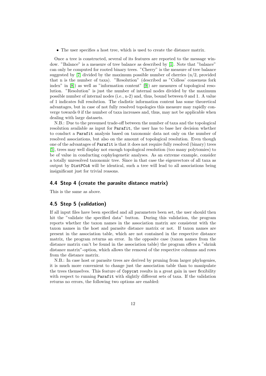• The user specifies a host tree, which is used to create the distance matrix.

Once a tree is constructed, several of its features are reported to the message window. "Balance" is a measure of tree balance as described by [\[1\]](#page-19-5). Note that "balance" can only be computed for rooted binary trees. "Cherry" is the measure of tree balance suggested by  $[7]$  divided by the maximum possible number of cherries  $(n/2,$  provided that n is the number of taxa). "Resolution" (described as "Colless' consensus fork index" in [\[8\]](#page-19-7)) as well as "information content" [\[9\]](#page-19-8)) are measures of topological resolution. "Resolution" is just the number of internal nodes divided by the maximum possible number of internal nodes (i.e., n-2) and, thus, bound between 0 and 1. A value of 1 indicates full resolution. The cladistic information content has some theoretical advantages, but in case of not fully resolved topologies this measure may rapidly converge towards 0 if the number of taxa increases and, thus, may not be applicable when dealing with large datasets.

N.B.: Due to the presumed trade-off between the number of taxa and the topological resolution available as input for Parafit, the user has to base her decision whether to conduct a Parafit analysis based on taxonomic data not only on the number of resolved associations, but also on the amount of topological resolution. Even though one of the advantages of Parafit is that it does not require fully resolved (binary) trees [\[5\]](#page-19-0), trees may well display not enough topological resolution (too many polytomies) to be of value in conducting cophylogenetic analyses. As an extreme example, consider a totally unresolved taxonomic tree. Since in that case the eigenvectors of all taxa as output by DistPCoA will be identical, such a tree will lead to all associations being insignificant just for trivial reasons.

### <span id="page-11-0"></span>4.4 Step 4 (create the parasite distance matrix)

This is the same as above.

### <span id="page-11-1"></span>4.5 Step 5 (validation)

If all input files have been specified and all parameters been set, the user should then hit the "validate the specified data" button. During this validation, the program reports whether the taxon names in the association matrix are consistent with the taxon names in the host and parasite distance matrix or not. If taxon names are present in the association table, which are not contained in the respective distance matrix, the program returns an error. In the opposite case (taxon names from the distance matrix can't be found in the association table) the program offers a "shrink distance matrix"-option, which allows the removal of the respective columns and rows from the distance matrix.

N.B.: In case host or parasite trees are derived by pruning from larger phylogenies, it is much more convenient to change just the association table than to manipulate the trees themselves. This feature of Copycat results in a great gain in user flexibility with respect to running Parafit with slightly different sets of taxa. If the validation returns no errors, the following two options are enabled: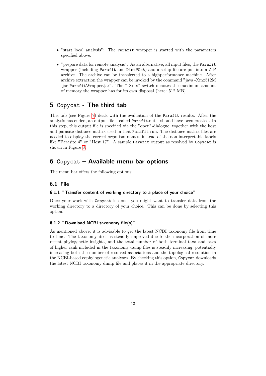- "start local analysis": The Parafit wrapper is started with the parameters specified above.
- "prepare data for remote analysis": As an alternative, all input files, the Parafit wrapper (including Parafit and DistPCoA) and a setup file are put into a ZIP archive. The archive can be transferred to a highperformance machine. After archive extraction the wrapper can be invoked by the command "java -Xmx512M -jar ParafitWrapper.jar". The "-Xmx" switch denotes the maximum amount of memory the wrapper has for its own disposal (here: 512 MB).

### <span id="page-12-0"></span>5 Copycat - The third tab

This tab (see Figure [7\)](#page-13-0) deals with the evaluation of the Parafit results. After the analysis has ended, an output file – called Parafit.out – should have been created. In this step, this output file is specified via the "open"-dialogue, together with the host and parasite distance matrix used in that Parafit run. The distance matrix files are needed to display the correct organism names, instead of the non-interpretable labels like "Parasite 4" or "Host 17". A sample Parafit output as resolved by Copycat is shown in Figure [8.](#page-14-0)

## <span id="page-12-1"></span>6 Copycat – Available menu bar options

The menu bar offers the following options:

### <span id="page-12-2"></span>6.1 File

### <span id="page-12-3"></span>6.1.1 "Transfer content of working directory to a place of your choice"

Once your work with Copycat is done, you might want to transfer data from the working directory to a directory of your choice. This can be done by selecting this option.

### <span id="page-12-4"></span>6.1.2 "Download NCBI taxonomy file(s)"

As mentioned above, it is advisable to get the latest NCBI taxonomy file from time to time. The taxonomy itself is steadily improved due to the incorporation of more recent phylogenetic insights, and the total number of both terminal taxa and taxa of higher rank included in the taxonomy dump files is steadily increasing, potentially increasing both the number of resolved associations and the topological resolution in the NCBI-based cophylogenetic analyses. By checking this option, Copycat downloads the latest NCBI taxonomy dump file and places it in the appropriate directory.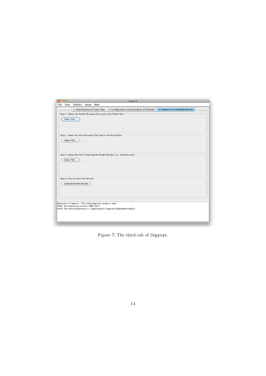|      |             |                                        |  |                                                        | Copycat                                                                                                        |  |  |
|------|-------------|----------------------------------------|--|--------------------------------------------------------|----------------------------------------------------------------------------------------------------------------|--|--|
| File | View        | Options Setup Help                     |  |                                                        |                                                                                                                |  |  |
|      |             |                                        |  |                                                        | 1. Preprocessing of Input Data 2. Configuration and Execuation of AxParafit 3. Evaluation of AxParafit Results |  |  |
|      |             |                                        |  |                                                        | Step 1: Select the Parafit Distance File Used in the Parafit Run-                                              |  |  |
|      | Select File | $\cdots$                               |  |                                                        |                                                                                                                |  |  |
|      |             |                                        |  |                                                        |                                                                                                                |  |  |
|      |             |                                        |  |                                                        |                                                                                                                |  |  |
|      |             |                                        |  |                                                        | Step 2: Select the Host Distance File Used in the Parafit Run-                                                 |  |  |
|      |             |                                        |  |                                                        |                                                                                                                |  |  |
|      | Select File |                                        |  |                                                        |                                                                                                                |  |  |
|      |             |                                        |  |                                                        |                                                                                                                |  |  |
|      |             |                                        |  |                                                        |                                                                                                                |  |  |
|      |             |                                        |  |                                                        | Step 3: Select the File Containing the Parafit Results (i.e., 'HostPara.out')-                                 |  |  |
|      | Select File |                                        |  |                                                        |                                                                                                                |  |  |
|      |             |                                        |  |                                                        |                                                                                                                |  |  |
|      |             |                                        |  |                                                        |                                                                                                                |  |  |
|      |             |                                        |  |                                                        |                                                                                                                |  |  |
|      |             | Step 4: View on the Final Results      |  |                                                        |                                                                                                                |  |  |
|      |             | <b>Evaluate Parafit Results</b>        |  |                                                        |                                                                                                                |  |  |
|      |             |                                        |  |                                                        |                                                                                                                |  |  |
|      |             |                                        |  |                                                        |                                                                                                                |  |  |
|      |             |                                        |  |                                                        |                                                                                                                |  |  |
|      |             | INFO: The operating system is MAC OS X |  | Welcome to CopyCat - The cophylogenetic analysis tool! |                                                                                                                |  |  |
|      |             |                                        |  |                                                        | INFO: The working directory is: /Applications/Copycat/DefaultWorkingDir/                                       |  |  |
|      |             |                                        |  |                                                        |                                                                                                                |  |  |
|      |             |                                        |  |                                                        |                                                                                                                |  |  |
|      |             |                                        |  |                                                        |                                                                                                                |  |  |

<span id="page-13-0"></span>Figure 7: The third tab of Copycat.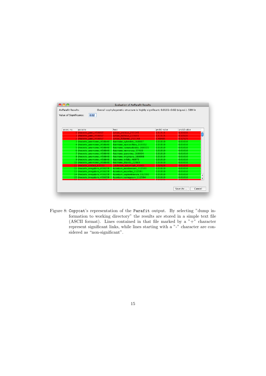| Overall cophylogenetic structure is highly significant: 0.0101<0.02 (sig.val.). 599 lir<br>AxParafit Results: |                                 |                                |             |             |  |  |  |
|---------------------------------------------------------------------------------------------------------------|---------------------------------|--------------------------------|-------------|-------------|--|--|--|
| Value of Significance:                                                                                        | 0.02                            |                                |             |             |  |  |  |
|                                                                                                               |                                 |                                |             |             |  |  |  |
|                                                                                                               |                                 |                                |             |             |  |  |  |
|                                                                                                               |                                 |                                |             |             |  |  |  |
| assoc.no.                                                                                                     | parasite                        | host                           | prob1 value | prob2 value |  |  |  |
|                                                                                                               | 0 Urocystis junci 458657        | Juncus arcticus 253145         | 0.51515     | 0.53535     |  |  |  |
|                                                                                                               | <b>Urocystis junci 458657</b>   | Juncus balticus 223655         | 0.51515     | 0.53535     |  |  |  |
|                                                                                                               | 2 Urocystis junci 458657        | Juncus filiformis 253148       | 0.48485     | 0.52525     |  |  |  |
|                                                                                                               | 3 Urocystis_anemones_458648     | Anemone_sylvestris_168007      | 0.01010     | 0.01010     |  |  |  |
|                                                                                                               | 4 Urocystis anemones 458648     | Anemone narcissiflora 168002   | 0.01010     | 0.01010     |  |  |  |
|                                                                                                               | 5 Urocystis anemones 458648     | Anemone ranunculoides 168005   | 0.01010     | 0.01010     |  |  |  |
|                                                                                                               | 6 Urocystis anemones 458648     | Anemone nemorosa 37489         | 0.01010     | 0.01010     |  |  |  |
|                                                                                                               | 7 Urocystis anemones 458648     | Anemone pavonina 168004        | 0.01010     | 0.01010     |  |  |  |
|                                                                                                               | 8 Urocystis_anemones_458648     | Anemone virginiana 168008      | 0.01010     | 0.01010     |  |  |  |
|                                                                                                               | 9 Urocystis anemones 458648     | Anemone trifolia 46975         | 0.01010     | 0.01010     |  |  |  |
|                                                                                                               | 10 Urocystis_anemones_458648    | Anemone blanda 22869           | 0.01010     | 0.01010     |  |  |  |
|                                                                                                               | 11 Urocystis colchici 63393     | Colchicum autumnale 45005      | 0.02020     | 0.01010     |  |  |  |
|                                                                                                               | 12 Urocystis irregularis 458659 | Aconitum moldavicum 112590     | 0.01010     | 0.01010     |  |  |  |
|                                                                                                               | 13 Urocystis_irregularis_458659 | Aconitum napellus 112591       | 0.01010     | 0.01010     |  |  |  |
|                                                                                                               | 14 Urocystis irregularis 458659 | Aconitum septentrionale 112593 | 0.01010     | 0.01010     |  |  |  |
|                                                                                                               | 15 Urocystis_irregularis_458659 | Aconitum variegatum 112594     | 0.01010     | 0.01010     |  |  |  |
|                                                                                                               |                                 |                                |             |             |  |  |  |
|                                                                                                               |                                 |                                |             |             |  |  |  |

<span id="page-14-0"></span>Figure 8: Copycat's representation of the Parafit output. By selecting "dump information to working directory" the results are stored in a simple text file (ASCII format). Lines contained in that file marked by a  $"+"$  character represent significant links, while lines starting with a "-" character are considered as "non-significant".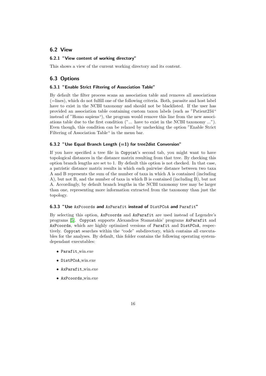### <span id="page-15-0"></span>6.2 View

### <span id="page-15-1"></span>6.2.1 "View content of working directory"

This shows a view of the current working directory and its content.

### <span id="page-15-2"></span>6.3 Options

#### <span id="page-15-3"></span>6.3.1 "Enable Strict Filtering of Association Table"

By default the filter process scans an association table and removes all associations (=lines), which do not fulfill one of the following criteria. Both, parasite and host label have to exist in the NCBI taxonomy and should not be blacklisted. If the user has provided an association table containing custom taxon labels (such as "Patient234" instead of "Homo sapiens"), the program would remove this line from the new associations table due to the first condition ("... have to exist in the NCBI taxonomy ..."). Even though, this condition can be relaxed by unchecking the option "Enable Strict Filtering of Association Table" in the menu bar.

#### <span id="page-15-4"></span>6.3.2 "Use Equal Branch Length  $(=1)$  for tree2dist Conversion"

If you have specified a tree file in Copycat's second tab, you might want to have topological distances in the distance matrix resulting from that tree. By checking this option branch lengths are set to 1. By default this option is not checked. In that case, a patristic distance matrix results in which each pairwise distance between two taxa A and B represents the sum of the number of taxa in which A is contained (including A), but not B, and the number of taxa in which B is contained (including B), but not A. Accordingly, by default branch lengths in the NCBI taxonomy tree may be larger than one, representing more information extracted from the taxonomy than just the topology.

#### <span id="page-15-5"></span>6.3.3 "Use AxPcoords and AxParafit instead of DistPCoA and Parafit"

By selecting this option, AxPcoords and AxParafit are used instead of Legendre's programs [\[5\]](#page-19-0). Copycat supports Alexandros Stamatakis' programs AxParafit and AxPcoords, which are highly optimized versions of Parafit and DistPCoA, respectively. Copycat searches within the "code" subdirectory, which contains all executables for the analyses. By default, this folder contains the following operating systemdependant executables:

- Parafit win.exe
- DistPCoA win.exe
- AxParafit win.exe
- AxPcoords win.exe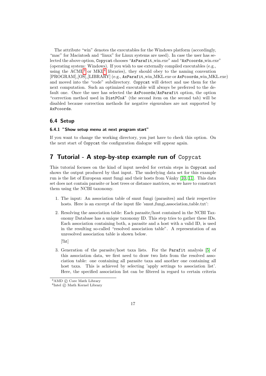The attribute "win" denotes the executables for the Windows platform (accordingly, "mac" for Macintosh and "linux" for Linux systems are used). In case the user has selected the above option, Copycat chooses "AxParafit win.exe" and "AxPcoords win.exe" (operating system: Windows). If you wish to use externally compiled executables (e.g., using the  $ACML^3$  $ACML^3$  or  $MKL^4$  $MKL^4$  libraries), they should obey to the naming convention [PROGRAM] [OS] [LIBRARY] (e.g., AxParafit win MKL.exe or AxPcoords win MKL.exe) and moved into the "code" subdirectory. Copycat will detect and use them for the next computation. Such an optimized executable will always be preferred to the default one. Once the user has selected the AxPcoords/AxParafit option, the option "correction method used in DistPCoA" (the second item on the second tab) will be disabled because correction methods for negative eigenvalues are not supported by AxPcoords.

### <span id="page-16-0"></span>6.4 Setup

#### <span id="page-16-1"></span>6.4.1 "Show setup menu at next program start"

If you want to change the working directory, you just have to check this option. On the next start of Copycat the configuration dialogue will appear again.

### <span id="page-16-2"></span>7 Tutorial - A step-by-step example run of Copycat

This tutorial focuses on the kind of input needed for certain steps in Copycat and shows the output produced by that input. The underlying data set for this example run is the list of European smut fungi and their hosts from Vánky [\[10,](#page-19-9) [11\]](#page-19-10). This data set does not contain parasite or host trees or distance matrices, so we have to construct them using the NCBI taxonomy.

- 1. The input: An association table of smut fungi (parasites) and their respective hosts. Here is an excerpt of the input file 'smut fungi-association\_table.txt':
- 2. Resolving the association table: Each parasite/host contained in the NCBI Taxonomy Database has a unique taxonomy ID. This step tries to gather these IDs. Each association containing both, a parasite and a host with a valid ID, is used in the resulting so-called "resolved association table". A representation of an unresolved association table is shown below.

[!ht]

3. Generation of the parasite/host taxa lists. For the Parafit analysis [\[5\]](#page-19-0) of this association data, we first need to draw two lists from the resolved association table: one containing all parasite taxa and another one containing all host taxa. This is achieved by selecting 'apply settings to association list'. Here, the specified association list can be filtered in regard to certain criteria

<span id="page-16-3"></span><sup>&</sup>lt;sup>3</sup>AMD © Core Math Library

<span id="page-16-4"></span><sup>&</sup>lt;sup>4</sup>Intel © Math Kernel Library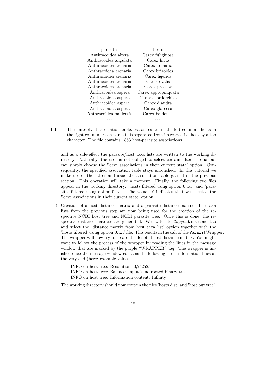| parasites              | hosts               |
|------------------------|---------------------|
| Anthracoidea altera    | Carex fuliginosa    |
| Anthracoidea angulata  | Carex hirta         |
| Anthracoidea arenaria  | Carex arenaria      |
| Anthracoidea arenaria  | Carex brizoides     |
| Anthracoidea arenaria  | Carex ligerica      |
| Anthracoidea arenaria  | Carex ovalis        |
| Anthracoidea arenaria  | Carex praecox       |
| Anthracoidea aspera    | Carex appropinguata |
| Anthracoidea aspera    | Carex chordorrhiza  |
| Anthracoidea aspera    | Carex diandra       |
| Anthracoidea aspera    | Carex glareosa      |
| Anthracoidea baldensis | Carex baldensis     |
|                        |                     |
|                        |                     |

Table 1: The unresolved association table. Parasites are in the left column - hosts in the right column. Each parasite is separated from its respective host by a tab character. The file contains 1853 host-parasite associations.

and as a side-effect the parasite/host taxa lists are written to the working directory. Naturally, the user is not obliged to select certain filter criteria but can simply choose the 'leave associations in their current state' option. Consequently, the specified association table stays untouched. In this tutorial we make use of the latter and issue the association table gained in the previous section. This operation will take a moment. Finally, the following two files appear in the working directory: 'hosts filtered using option 0.txt' and 'parasites filtered using option 0.txt'. The value '0' indicates that we selected the 'leave associations in their current state' option.

4. Creation of a host distance matrix and a parasite distance matrix. The taxa lists from the previous step are now being used for the creation of the respective NCBI host tree and NCBI parasite tree. Once this is done, the respective distance matrices are generated. We switch to Copycat's second tab and select the 'distance matrix from host taxa list' option together with the 'hosts filtered using option 0.txt' file. This results in the call of the ParafitWrapper. The wrapper will now try to create the denoted host distance matrix. You might want to follow the process of the wrapper by reading the lines in the message window that are marked by the purple "WRAPPER" tag. The wrapper is finished once the message window contains the following three information lines at the very end (here: example values).

INFO on host tree: Resolution: 0,252525 INFO on host tree: Balance: input is no rooted binary tree INFO on host tree: Information content: Infinity

The working directory should now contain the files 'hosts.dist' and 'host.out.tree'.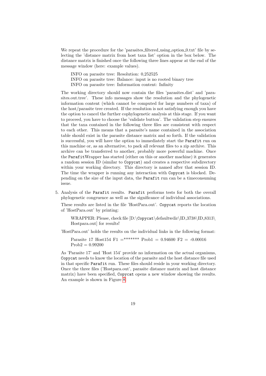We repeat the procedure for the 'parasites filtered using option 0.txt' file by selecting the 'distance matrix from host taxa list' option in the box below. The distance matrix is finished once the following three lines appear at the end of the message window (here: example values).

INFO on parasite tree: Resolution: 0,252525

INFO on parasite tree: Balance: input is no rooted binary tree

INFO on parasite tree: Information content: Infinity

The working directory should now contain the files 'parasites.dist' and 'parasites.out.tree'. These info messages show the resolution and the phylogenetic information content (which cannot be computed for large numbers of taxa) of the host/parasite tree created. If the resolution is not satisfying enough you have the option to cancel the further cophylogenetic analysis at this stage. If you want to proceed, you have to choose the 'validate button'. The validation step ensures that the taxa contained in the following three files are consistent with respect to each other. This means that a parasite's name contained in the association table should exist in the parasite distance matrix and so forth. If the validation is successful, you will have the option to immediately start the Parafit run on this machine or, as an alternative, to pack all relevant files to a zip archive. This archive can be transferred to another, probably more powerful machine. Once the ParafitWrapper has started (either on this or another machine) it generates a random session ID (similar to Copycat) and creates a respective subdirectory within your working directory. This directory is named after that session ID. The time the wrapper is running any interaction with Copycat is blocked. Depending on the size of the input data, the Parafit run can be a timeconsuming issue.

5. Analysis of the Parafit results. Parafit performs tests for both the overall phylogenetic congruence as well as the significance of individual associations.

These results are listed in the file 'HostPara.out'. Copycat reports the location of 'HostPara.out' by printing:

WRAPPER: Please, check file [D:\Copycat\defaultwdir\ID 3738\ID 8313\ Hostpara.out] for results!

'HostPara.out' holds the results on the individual links in the following format:

Parasite 17 Host154 F1 =\*\*\*\*\*\*\* Prob1 = 0.94600 F2 = -0.00016  $Prob2 = 0.99200$ 

As 'Parasite 17' and 'Host 154' provide no information on the actual organisms, Copycat needs to know the location of the parasite and the host distance file used in that specific Parafit run. These files should reside in your working directory. Once the three files ('Hostpara.out', parasite distance matrix and host distance matrix) have been specified, Copycat opens a new window showing the results. An example is shown in Figure [8.](#page-14-0)